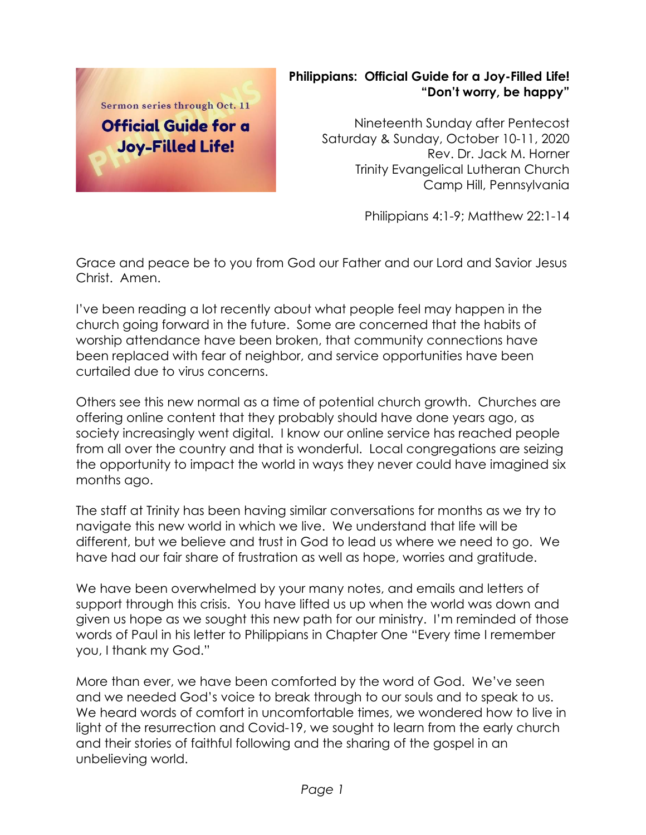

## **Philippians: Official Guide for a Joy-Filled Life! "Don't worry, be happy"**

Nineteenth Sunday after Pentecost Saturday & Sunday, October 10-11, 2020 Rev. Dr. Jack M. Horner Trinity Evangelical Lutheran Church Camp Hill, Pennsylvania

Philippians 4:1-9; Matthew 22:1-14

Grace and peace be to you from God our Father and our Lord and Savior Jesus Christ. Amen.

I've been reading a lot recently about what people feel may happen in the church going forward in the future. Some are concerned that the habits of worship attendance have been broken, that community connections have been replaced with fear of neighbor, and service opportunities have been curtailed due to virus concerns.

Others see this new normal as a time of potential church growth. Churches are offering online content that they probably should have done years ago, as society increasingly went digital. I know our online service has reached people from all over the country and that is wonderful. Local congregations are seizing the opportunity to impact the world in ways they never could have imagined six months ago.

The staff at Trinity has been having similar conversations for months as we try to navigate this new world in which we live. We understand that life will be different, but we believe and trust in God to lead us where we need to go. We have had our fair share of frustration as well as hope, worries and gratitude.

We have been overwhelmed by your many notes, and emails and letters of support through this crisis. You have lifted us up when the world was down and given us hope as we sought this new path for our ministry. I'm reminded of those words of Paul in his letter to Philippians in Chapter One "Every time I remember you, I thank my God."

More than ever, we have been comforted by the word of God. We've seen and we needed God's voice to break through to our souls and to speak to us. We heard words of comfort in uncomfortable times, we wondered how to live in light of the resurrection and Covid-19, we sought to learn from the early church and their stories of faithful following and the sharing of the gospel in an unbelieving world.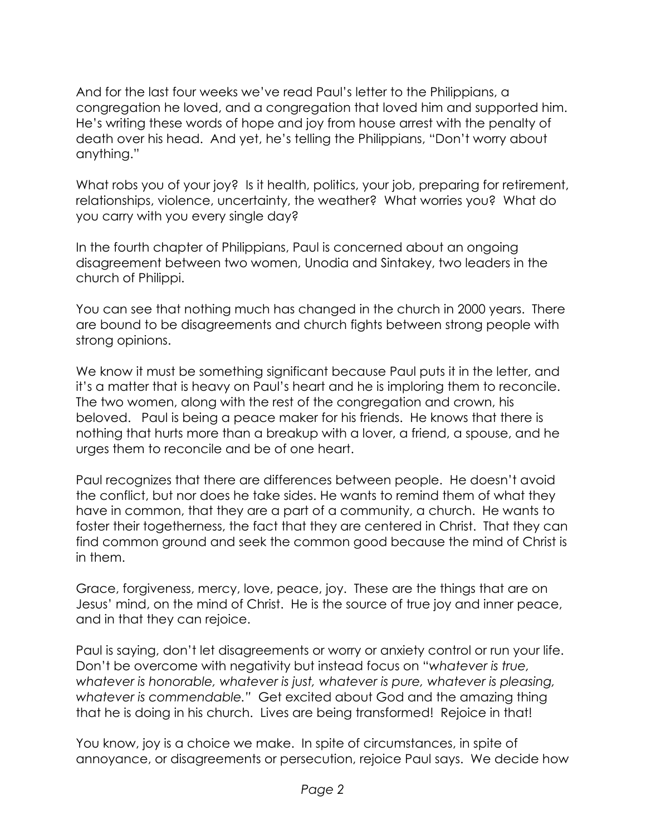And for the last four weeks we've read Paul's letter to the Philippians, a congregation he loved, and a congregation that loved him and supported him. He's writing these words of hope and joy from house arrest with the penalty of death over his head. And yet, he's telling the Philippians, "Don't worry about anything."

What robs you of your joy? Is it health, politics, your job, preparing for retirement, relationships, violence, uncertainty, the weather? What worries you? What do you carry with you every single day?

In the fourth chapter of Philippians, Paul is concerned about an ongoing disagreement between two women, Unodia and Sintakey, two leaders in the church of Philippi.

You can see that nothing much has changed in the church in 2000 years. There are bound to be disagreements and church fights between strong people with strong opinions.

We know it must be something significant because Paul puts it in the letter, and it's a matter that is heavy on Paul's heart and he is imploring them to reconcile. The two women, along with the rest of the congregation and crown, his beloved. Paul is being a peace maker for his friends. He knows that there is nothing that hurts more than a breakup with a lover, a friend, a spouse, and he urges them to reconcile and be of one heart.

Paul recognizes that there are differences between people. He doesn't avoid the conflict, but nor does he take sides. He wants to remind them of what they have in common, that they are a part of a community, a church. He wants to foster their togetherness, the fact that they are centered in Christ. That they can find common ground and seek the common good because the mind of Christ is in them.

Grace, forgiveness, mercy, love, peace, joy. These are the things that are on Jesus' mind, on the mind of Christ. He is the source of true joy and inner peace, and in that they can rejoice.

Paul is saying, don't let disagreements or worry or anxiety control or run your life. Don't be overcome with negativity but instead focus on "*whatever is true, whatever is honorable, whatever is just, whatever is pure, whatever is pleasing, whatever is commendable."* Get excited about God and the amazing thing that he is doing in his church. Lives are being transformed! Rejoice in that!

You know, joy is a choice we make. In spite of circumstances, in spite of annoyance, or disagreements or persecution, rejoice Paul says. We decide how